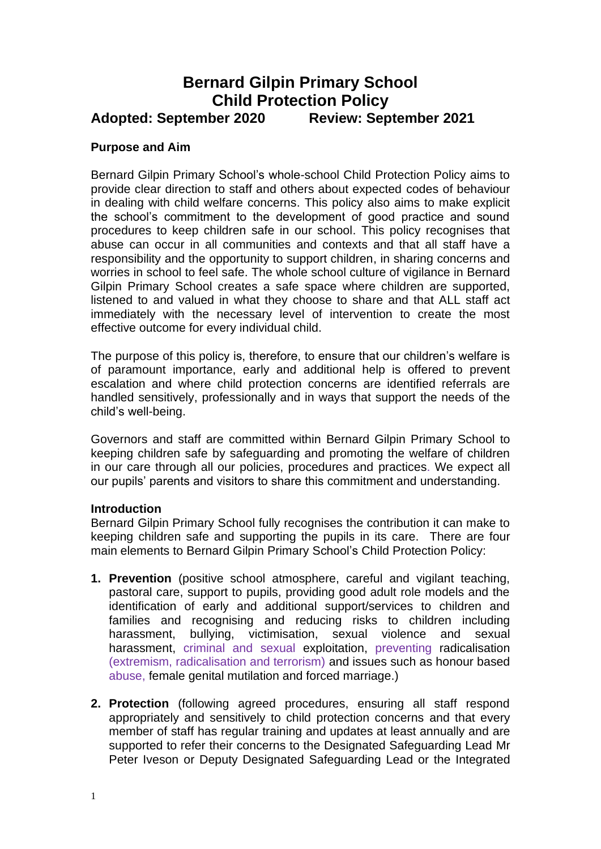## **Bernard Gilpin Primary School Child Protection Policy Adopted: September 2020 Review: September 2021**

#### **Purpose and Aim**

Bernard Gilpin Primary School's whole-school Child Protection Policy aims to provide clear direction to staff and others about expected codes of behaviour in dealing with child welfare concerns. This policy also aims to make explicit the school's commitment to the development of good practice and sound procedures to keep children safe in our school. This policy recognises that abuse can occur in all communities and contexts and that all staff have a responsibility and the opportunity to support children, in sharing concerns and worries in school to feel safe. The whole school culture of vigilance in Bernard Gilpin Primary School creates a safe space where children are supported, listened to and valued in what they choose to share and that ALL staff act immediately with the necessary level of intervention to create the most effective outcome for every individual child.

The purpose of this policy is, therefore, to ensure that our children's welfare is of paramount importance, early and additional help is offered to prevent escalation and where child protection concerns are identified referrals are handled sensitively, professionally and in ways that support the needs of the child's well-being.

Governors and staff are committed within Bernard Gilpin Primary School to keeping children safe by safeguarding and promoting the welfare of children in our care through all our policies, procedures and practices. We expect all our pupils' parents and visitors to share this commitment and understanding.

#### **Introduction**

Bernard Gilpin Primary School fully recognises the contribution it can make to keeping children safe and supporting the pupils in its care. There are four main elements to Bernard Gilpin Primary School's Child Protection Policy:

- **1. Prevention** (positive school atmosphere, careful and vigilant teaching, pastoral care, support to pupils, providing good adult role models and the identification of early and additional support/services to children and families and recognising and reducing risks to children including harassment, bullying, victimisation, sexual violence and sexual harassment, criminal and sexual exploitation, preventing radicalisation (extremism, radicalisation and terrorism) and issues such as honour based abuse, female genital mutilation and forced marriage.)
- **2. Protection** (following agreed procedures, ensuring all staff respond appropriately and sensitively to child protection concerns and that every member of staff has regular training and updates at least annually and are supported to refer their concerns to the Designated Safeguarding Lead Mr Peter Iveson or Deputy Designated Safeguarding Lead or the Integrated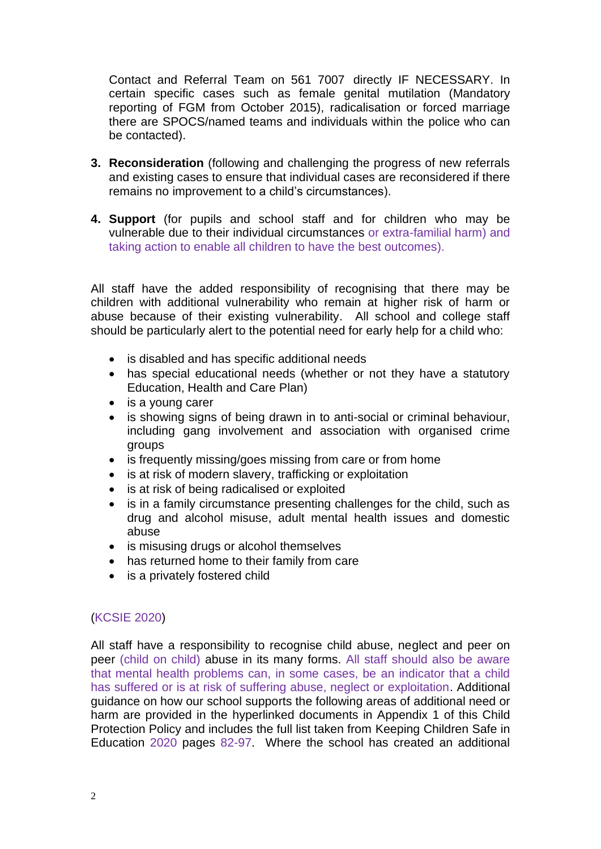Contact and Referral Team on 561 7007 directly IF NECESSARY. In certain specific cases such as female genital mutilation (Mandatory reporting of FGM from October 2015), radicalisation or forced marriage there are SPOCS/named teams and individuals within the police who can be contacted).

- **3. Reconsideration** (following and challenging the progress of new referrals and existing cases to ensure that individual cases are reconsidered if there remains no improvement to a child's circumstances).
- **4. Support** (for pupils and school staff and for children who may be vulnerable due to their individual circumstances or extra-familial harm) and taking action to enable all children to have the best outcomes).

All staff have the added responsibility of recognising that there may be children with additional vulnerability who remain at higher risk of harm or abuse because of their existing vulnerability. All school and college staff should be particularly alert to the potential need for early help for a child who:

- is disabled and has specific additional needs
- has special educational needs (whether or not they have a statutory Education, Health and Care Plan)
- is a young carer
- is showing signs of being drawn in to anti-social or criminal behaviour, including gang involvement and association with organised crime groups
- is frequently missing/goes missing from care or from home
- is at risk of modern slavery, trafficking or exploitation
- is at risk of being radicalised or exploited
- is in a family circumstance presenting challenges for the child, such as drug and alcohol misuse, adult mental health issues and domestic abuse
- is misusing drugs or alcohol themselves
- has returned home to their family from care
- is a privately fostered child

## (KCSIE 2020)

All staff have a responsibility to recognise child abuse, neglect and peer on peer (child on child) abuse in its many forms. All staff should also be aware that mental health problems can, in some cases, be an indicator that a child has suffered or is at risk of suffering abuse, neglect or exploitation. Additional guidance on how our school supports the following areas of additional need or harm are provided in the hyperlinked documents in Appendix 1 of this Child Protection Policy and includes the full list taken from Keeping Children Safe in Education 2020 pages 82-97. Where the school has created an additional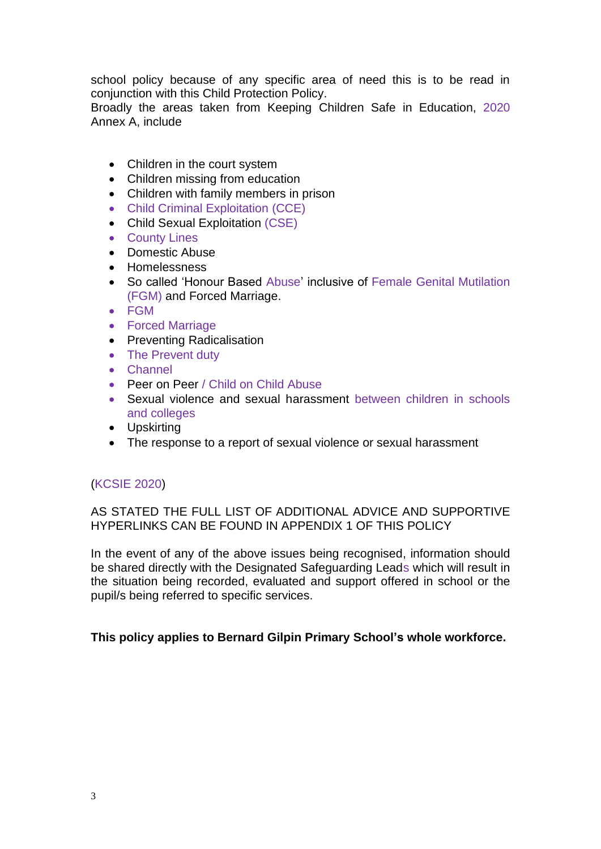school policy because of any specific area of need this is to be read in conjunction with this Child Protection Policy.

Broadly the areas taken from Keeping Children Safe in Education, 2020 Annex A, include

- Children in the court system
- Children missing from education
- Children with family members in prison
- Child Criminal Exploitation (CCE)
- Child Sexual Exploitation (CSE)
- County Lines
- Domestic Abuse
- Homelessness
- So called 'Honour Based Abuse' inclusive of Female Genital Mutilation (FGM) and Forced Marriage.
- FGM
- Forced Marriage
- Preventing Radicalisation
- The Prevent duty
- Channel
- Peer on Peer / Child on Child Abuse
- Sexual violence and sexual harassment between children in schools and colleges
- Upskirting
- The response to a report of sexual violence or sexual harassment

#### (KCSIE 2020)

AS STATED THE FULL LIST OF ADDITIONAL ADVICE AND SUPPORTIVE HYPERLINKS CAN BE FOUND IN APPENDIX 1 OF THIS POLICY

In the event of any of the above issues being recognised, information should be shared directly with the Designated Safeguarding Leads which will result in the situation being recorded, evaluated and support offered in school or the pupil/s being referred to specific services.

#### **This policy applies to Bernard Gilpin Primary School's whole workforce.**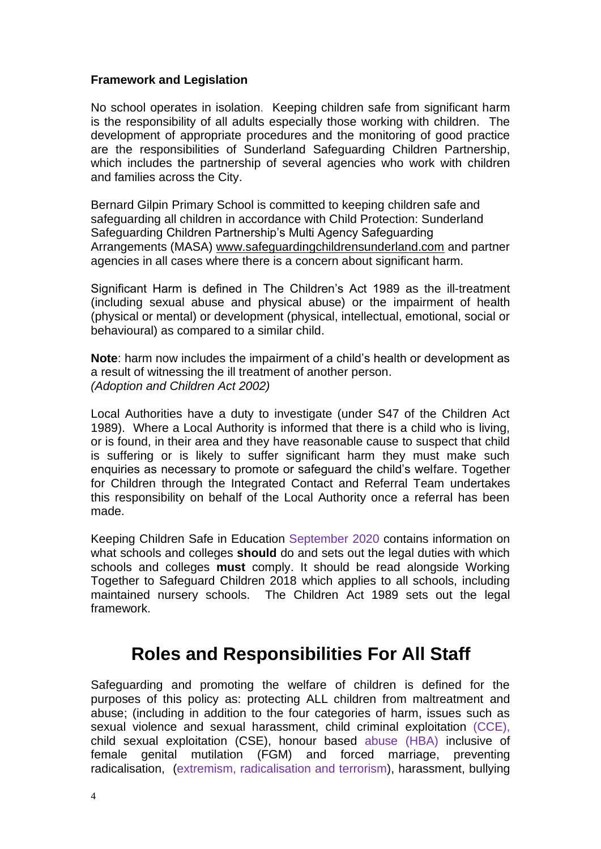## **Framework and Legislation**

No school operates in isolation. Keeping children safe from significant harm is the responsibility of all adults especially those working with children. The development of appropriate procedures and the monitoring of good practice are the responsibilities of Sunderland Safeguarding Children Partnership, which includes the partnership of several agencies who work with children and families across the City.

Bernard Gilpin Primary School is committed to keeping children safe and safeguarding all children in accordance with Child Protection: Sunderland Safeguarding Children Partnership's Multi Agency Safeguarding Arrangements (MASA) [www.safeguardingchildrensunderland.com](http://www.safeguardingchildrensunderland.com/) and partner agencies in all cases where there is a concern about significant harm.

Significant Harm is defined in The Children's Act 1989 as the ill-treatment (including sexual abuse and physical abuse) or the impairment of health (physical or mental) or development (physical, intellectual, emotional, social or behavioural) as compared to a similar child.

**Note**: harm now includes the impairment of a child's health or development as a result of witnessing the ill treatment of another person. *(Adoption and Children Act 2002)*

Local Authorities have a duty to investigate (under S47 of the Children Act 1989). Where a Local Authority is informed that there is a child who is living, or is found, in their area and they have reasonable cause to suspect that child is suffering or is likely to suffer significant harm they must make such enquiries as necessary to promote or safeguard the child's welfare. Together for Children through the Integrated Contact and Referral Team undertakes this responsibility on behalf of the Local Authority once a referral has been made.

Keeping Children Safe in Education September 2020 contains information on what schools and colleges **should** do and sets out the legal duties with which schools and colleges **must** comply. It should be read alongside Working Together to Safeguard Children 2018 which applies to all schools, including maintained nursery schools. The Children Act 1989 sets out the legal framework.

# **Roles and Responsibilities For All Staff**

Safeguarding and promoting the welfare of children is defined for the purposes of this policy as: protecting ALL children from maltreatment and abuse; (including in addition to the four categories of harm, issues such as sexual violence and sexual harassment, child criminal exploitation (CCE), child sexual exploitation (CSE), honour based abuse (HBA) inclusive of female genital mutilation (FGM) and forced marriage, preventing radicalisation, (extremism, radicalisation and terrorism), harassment, bullying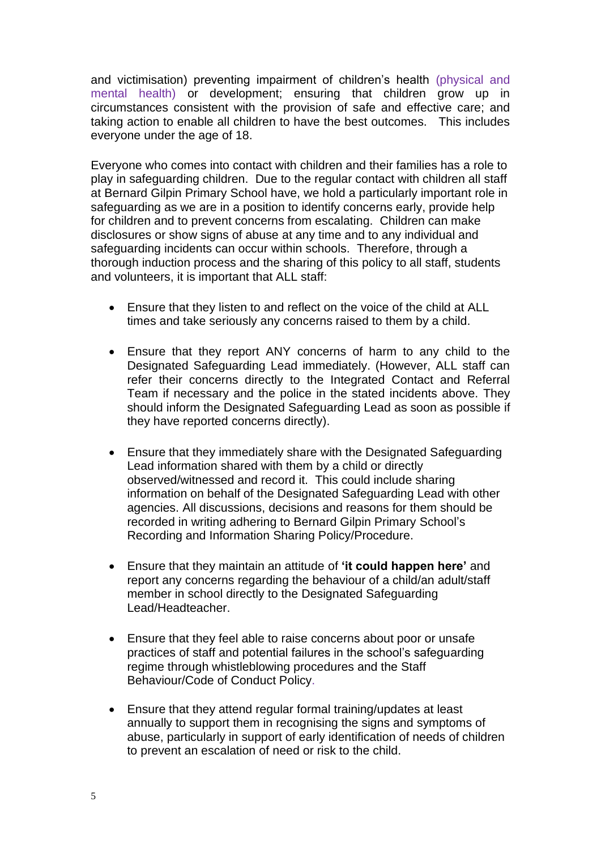and victimisation) preventing impairment of children's health (physical and mental health) or development; ensuring that children grow up in circumstances consistent with the provision of safe and effective care; and taking action to enable all children to have the best outcomes. This includes everyone under the age of 18.

Everyone who comes into contact with children and their families has a role to play in safeguarding children. Due to the regular contact with children all staff at Bernard Gilpin Primary School have, we hold a particularly important role in safeguarding as we are in a position to identify concerns early, provide help for children and to prevent concerns from escalating. Children can make disclosures or show signs of abuse at any time and to any individual and safeguarding incidents can occur within schools. Therefore, through a thorough induction process and the sharing of this policy to all staff, students and volunteers, it is important that ALL staff:

- Ensure that they listen to and reflect on the voice of the child at ALL times and take seriously any concerns raised to them by a child.
- Ensure that they report ANY concerns of harm to any child to the Designated Safeguarding Lead immediately. (However, ALL staff can refer their concerns directly to the Integrated Contact and Referral Team if necessary and the police in the stated incidents above. They should inform the Designated Safeguarding Lead as soon as possible if they have reported concerns directly).
- Ensure that they immediately share with the Designated Safeguarding Lead information shared with them by a child or directly observed/witnessed and record it. This could include sharing information on behalf of the Designated Safeguarding Lead with other agencies. All discussions, decisions and reasons for them should be recorded in writing adhering to Bernard Gilpin Primary School's Recording and Information Sharing Policy/Procedure.
- Ensure that they maintain an attitude of **'it could happen here'** and report any concerns regarding the behaviour of a child/an adult/staff member in school directly to the Designated Safeguarding Lead/Headteacher.
- Ensure that they feel able to raise concerns about poor or unsafe practices of staff and potential failures in the school's safeguarding regime through whistleblowing procedures and the Staff Behaviour/Code of Conduct Policy.
- Ensure that they attend regular formal training/updates at least annually to support them in recognising the signs and symptoms of abuse, particularly in support of early identification of needs of children to prevent an escalation of need or risk to the child.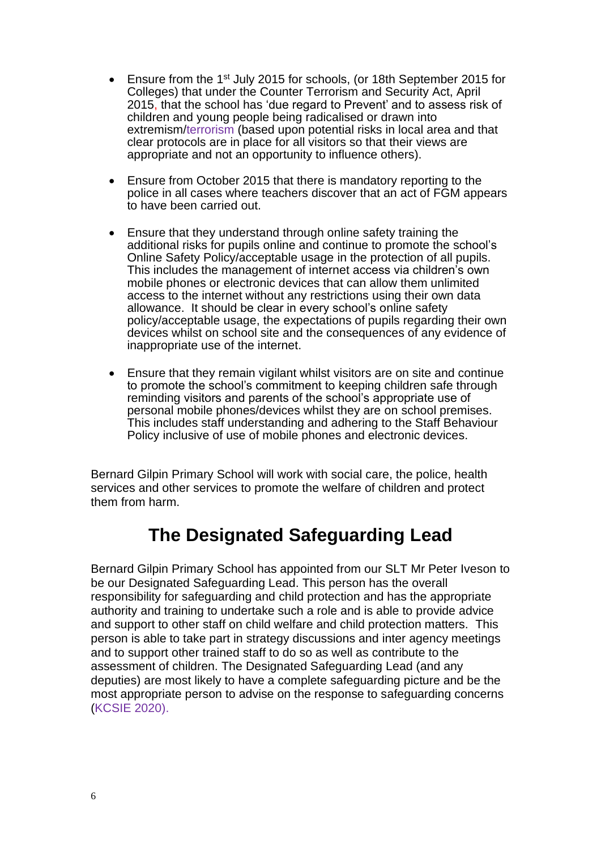- Ensure from the 1st July 2015 for schools, (or 18th September 2015 for Colleges) that under the Counter Terrorism and Security Act, April 2015, that the school has 'due regard to Prevent' and to assess risk of children and young people being radicalised or drawn into extremism/terrorism (based upon potential risks in local area and that clear protocols are in place for all visitors so that their views are appropriate and not an opportunity to influence others).
- Ensure from October 2015 that there is mandatory reporting to the police in all cases where teachers discover that an act of FGM appears to have been carried out.
- Ensure that they understand through online safety training the additional risks for pupils online and continue to promote the school's Online Safety Policy/acceptable usage in the protection of all pupils. This includes the management of internet access via children's own mobile phones or electronic devices that can allow them unlimited access to the internet without any restrictions using their own data allowance. It should be clear in every school's online safety policy/acceptable usage, the expectations of pupils regarding their own devices whilst on school site and the consequences of any evidence of inappropriate use of the internet.
- Ensure that they remain vigilant whilst visitors are on site and continue to promote the school's commitment to keeping children safe through reminding visitors and parents of the school's appropriate use of personal mobile phones/devices whilst they are on school premises. This includes staff understanding and adhering to the Staff Behaviour Policy inclusive of use of mobile phones and electronic devices.

Bernard Gilpin Primary School will work with social care, the police, health services and other services to promote the welfare of children and protect them from harm.

# **The Designated Safeguarding Lead**

Bernard Gilpin Primary School has appointed from our SLT Mr Peter Iveson to be our Designated Safeguarding Lead. This person has the overall responsibility for safeguarding and child protection and has the appropriate authority and training to undertake such a role and is able to provide advice and support to other staff on child welfare and child protection matters. This person is able to take part in strategy discussions and inter agency meetings and to support other trained staff to do so as well as contribute to the assessment of children. The Designated Safeguarding Lead (and any deputies) are most likely to have a complete safeguarding picture and be the most appropriate person to advise on the response to safeguarding concerns (KCSIE 2020).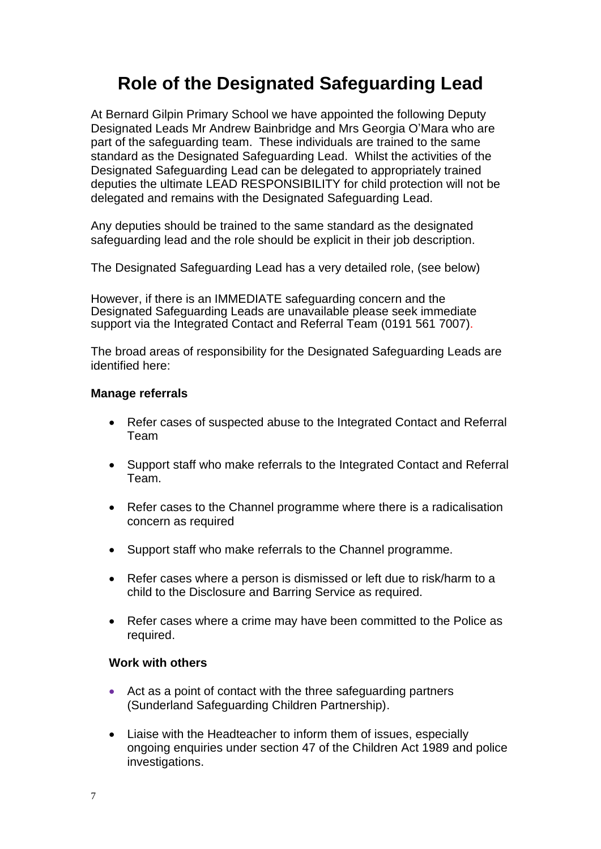# **Role of the Designated Safeguarding Lead**

At Bernard Gilpin Primary School we have appointed the following Deputy Designated Leads Mr Andrew Bainbridge and Mrs Georgia O'Mara who are part of the safeguarding team. These individuals are trained to the same standard as the Designated Safeguarding Lead. Whilst the activities of the Designated Safeguarding Lead can be delegated to appropriately trained deputies the ultimate LEAD RESPONSIBILITY for child protection will not be delegated and remains with the Designated Safeguarding Lead.

Any deputies should be trained to the same standard as the designated safeguarding lead and the role should be explicit in their job description.

The Designated Safeguarding Lead has a very detailed role, (see below)

However, if there is an IMMEDIATE safeguarding concern and the Designated Safeguarding Leads are unavailable please seek immediate support via the Integrated Contact and Referral Team (0191 561 7007).

The broad areas of responsibility for the Designated Safeguarding Leads are identified here:

## **Manage referrals**

- Refer cases of suspected abuse to the Integrated Contact and Referral Team
- Support staff who make referrals to the Integrated Contact and Referral Team.
- Refer cases to the Channel programme where there is a radicalisation concern as required
- Support staff who make referrals to the Channel programme.
- Refer cases where a person is dismissed or left due to risk/harm to a child to the Disclosure and Barring Service as required.
- Refer cases where a crime may have been committed to the Police as required.

## **Work with others**

- Act as a point of contact with the three safeguarding partners (Sunderland Safeguarding Children Partnership).
- Liaise with the Headteacher to inform them of issues, especially ongoing enquiries under section 47 of the Children Act 1989 and police investigations.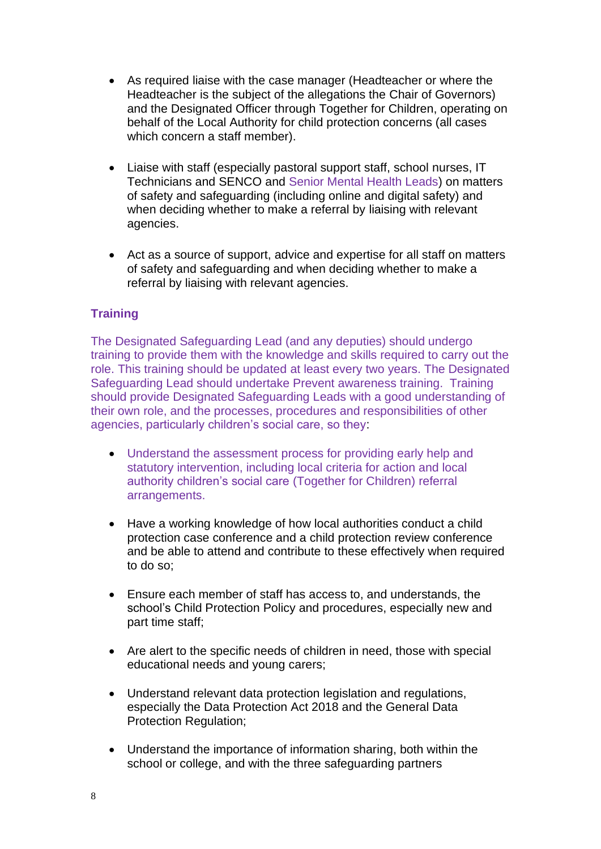- As required liaise with the case manager (Headteacher or where the Headteacher is the subject of the allegations the Chair of Governors) and the Designated Officer through Together for Children, operating on behalf of the Local Authority for child protection concerns (all cases which concern a staff member).
- Liaise with staff (especially pastoral support staff, school nurses, IT Technicians and SENCO and Senior Mental Health Leads) on matters of safety and safeguarding (including online and digital safety) and when deciding whether to make a referral by liaising with relevant agencies.
- Act as a source of support, advice and expertise for all staff on matters of safety and safeguarding and when deciding whether to make a referral by liaising with relevant agencies.

## **Training**

The Designated Safeguarding Lead (and any deputies) should undergo training to provide them with the knowledge and skills required to carry out the role. This training should be updated at least every two years. The Designated Safeguarding Lead should undertake Prevent awareness training. Training should provide Designated Safeguarding Leads with a good understanding of their own role, and the processes, procedures and responsibilities of other agencies, particularly children's social care, so they:

- Understand the assessment process for providing early help and statutory intervention, including local criteria for action and local authority children's social care (Together for Children) referral arrangements.
- Have a working knowledge of how local authorities conduct a child protection case conference and a child protection review conference and be able to attend and contribute to these effectively when required to do so;
- Ensure each member of staff has access to, and understands, the school's Child Protection Policy and procedures, especially new and part time staff;
- Are alert to the specific needs of children in need, those with special educational needs and young carers;
- Understand relevant data protection legislation and regulations, especially the Data Protection Act 2018 and the General Data Protection Regulation;
- Understand the importance of information sharing, both within the school or college, and with the three safeguarding partners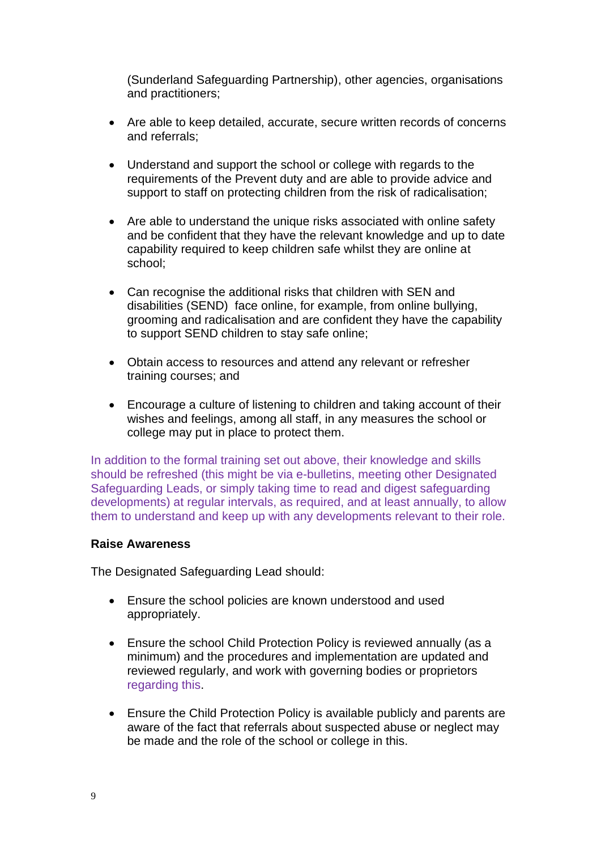(Sunderland Safeguarding Partnership), other agencies, organisations and practitioners;

- Are able to keep detailed, accurate, secure written records of concerns and referrals;
- Understand and support the school or college with regards to the requirements of the Prevent duty and are able to provide advice and support to staff on protecting children from the risk of radicalisation;
- Are able to understand the unique risks associated with online safety and be confident that they have the relevant knowledge and up to date capability required to keep children safe whilst they are online at school;
- Can recognise the additional risks that children with SEN and disabilities (SEND) face online, for example, from online bullying, grooming and radicalisation and are confident they have the capability to support SEND children to stay safe online;
- Obtain access to resources and attend any relevant or refresher training courses; and
- Encourage a culture of listening to children and taking account of their wishes and feelings, among all staff, in any measures the school or college may put in place to protect them.

In addition to the formal training set out above, their knowledge and skills should be refreshed (this might be via e-bulletins, meeting other Designated Safeguarding Leads, or simply taking time to read and digest safeguarding developments) at regular intervals, as required, and at least annually, to allow them to understand and keep up with any developments relevant to their role.

## **Raise Awareness**

The Designated Safeguarding Lead should:

- Ensure the school policies are known understood and used appropriately.
- Ensure the school Child Protection Policy is reviewed annually (as a minimum) and the procedures and implementation are updated and reviewed regularly, and work with governing bodies or proprietors regarding this.
- Ensure the Child Protection Policy is available publicly and parents are aware of the fact that referrals about suspected abuse or neglect may be made and the role of the school or college in this.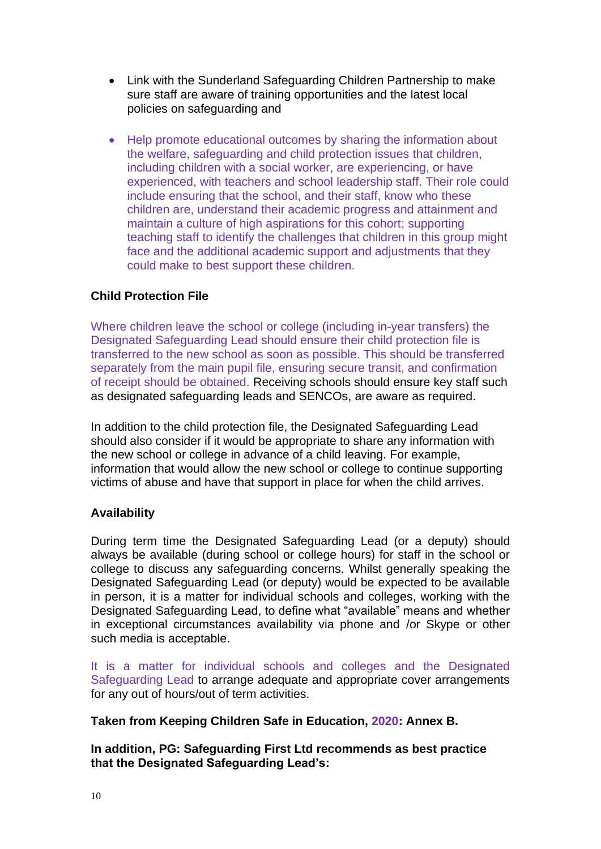- Link with the Sunderland Safeguarding Children Partnership to make sure staff are aware of training opportunities and the latest local policies on safeguarding and
- Help promote educational outcomes by sharing the information about the welfare, safeguarding and child protection issues that children, including children with a social worker, are experiencing, or have experienced, with teachers and school leadership staff. Their role could include ensuring that the school, and their staff, know who these children are, understand their academic progress and attainment and maintain a culture of high aspirations for this cohort; supporting teaching staff to identify the challenges that children in this group might face and the additional academic support and adjustments that they could make to best support these children.

## **Child Protection File**

Where children leave the school or college (including in-year transfers) the Designated Safeguarding Lead should ensure their child protection file is transferred to the new school as soon as possible. This should be transferred separately from the main pupil file, ensuring secure transit, and confirmation of receipt should be obtained. Receiving schools should ensure key staff such as designated safeguarding leads and SENCOs, are aware as required.

In addition to the child protection file, the Designated Safeguarding Lead should also consider if it would be appropriate to share any information with the new school or college in advance of a child leaving. For example, information that would allow the new school or college to continue supporting victims of abuse and have that support in place for when the child arrives.

## **Availability**

During term time the Designated Safeguarding Lead (or a deputy) should always be available (during school or college hours) for staff in the school or college to discuss any safeguarding concerns. Whilst generally speaking the Designated Safeguarding Lead (or deputy) would be expected to be available in person, it is a matter for individual schools and colleges, working with the Designated Safeguarding Lead, to define what "available" means and whether in exceptional circumstances availability via phone and /or Skype or other such media is acceptable.

It is a matter for individual schools and colleges and the Designated Safeguarding Lead to arrange adequate and appropriate cover arrangements for any out of hours/out of term activities.

**Taken from Keeping Children Safe in Education, 2020: Annex B.**

**In addition, PG: Safeguarding First Ltd recommends as best practice that the Designated Safeguarding Lead's:**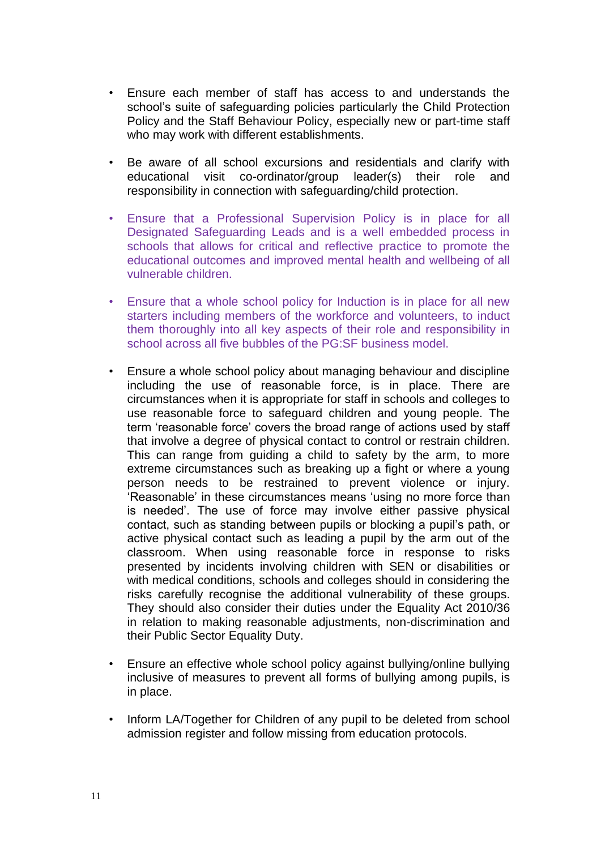- Ensure each member of staff has access to and understands the school's suite of safeguarding policies particularly the Child Protection Policy and the Staff Behaviour Policy, especially new or part-time staff who may work with different establishments.
- Be aware of all school excursions and residentials and clarify with educational visit co-ordinator/group leader(s) their role and responsibility in connection with safeguarding/child protection.
- Ensure that a Professional Supervision Policy is in place for all Designated Safeguarding Leads and is a well embedded process in schools that allows for critical and reflective practice to promote the educational outcomes and improved mental health and wellbeing of all vulnerable children.
- Ensure that a whole school policy for Induction is in place for all new starters including members of the workforce and volunteers, to induct them thoroughly into all key aspects of their role and responsibility in school across all five bubbles of the PG:SF business model.
- Ensure a whole school policy about managing behaviour and discipline including the use of reasonable force, is in place. There are circumstances when it is appropriate for staff in schools and colleges to use reasonable force to safeguard children and young people. The term 'reasonable force' covers the broad range of actions used by staff that involve a degree of physical contact to control or restrain children. This can range from guiding a child to safety by the arm, to more extreme circumstances such as breaking up a fight or where a young person needs to be restrained to prevent violence or injury. 'Reasonable' in these circumstances means 'using no more force than is needed'. The use of force may involve either passive physical contact, such as standing between pupils or blocking a pupil's path, or active physical contact such as leading a pupil by the arm out of the classroom. When using reasonable force in response to risks presented by incidents involving children with SEN or disabilities or with medical conditions, schools and colleges should in considering the risks carefully recognise the additional vulnerability of these groups. They should also consider their duties under the Equality Act 2010/36 in relation to making reasonable adjustments, non-discrimination and their Public Sector Equality Duty.
- Ensure an effective whole school policy against bullying/online bullying inclusive of measures to prevent all forms of bullying among pupils, is in place.
- Inform LA/Together for Children of any pupil to be deleted from school admission register and follow missing from education protocols.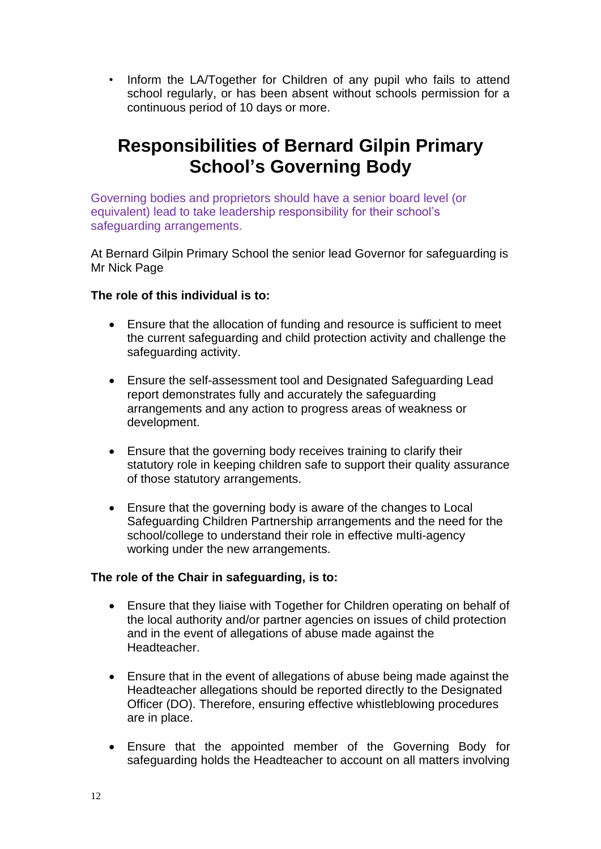• Inform the LA/Together for Children of any pupil who fails to attend school regularly, or has been absent without schools permission for a continuous period of 10 days or more.

# **Responsibilities of Bernard Gilpin Primary School's Governing Body**

Governing bodies and proprietors should have a senior board level (or equivalent) lead to take leadership responsibility for their school's safeguarding arrangements.

At Bernard Gilpin Primary School the senior lead Governor for safeguarding is Mr Nick Page

## **The role of this individual is to:**

- Ensure that the allocation of funding and resource is sufficient to meet the current safeguarding and child protection activity and challenge the safeguarding activity.
- Ensure the self-assessment tool and Designated Safeguarding Lead report demonstrates fully and accurately the safeguarding arrangements and any action to progress areas of weakness or development.
- Ensure that the governing body receives training to clarify their statutory role in keeping children safe to support their quality assurance of those statutory arrangements.
- Ensure that the governing body is aware of the changes to Local Safeguarding Children Partnership arrangements and the need for the school/college to understand their role in effective multi-agency working under the new arrangements.

## **The role of the Chair in safeguarding, is to:**

- Ensure that they liaise with Together for Children operating on behalf of the local authority and/or partner agencies on issues of child protection and in the event of allegations of abuse made against the Headteacher.
- Ensure that in the event of allegations of abuse being made against the Headteacher allegations should be reported directly to the Designated Officer (DO). Therefore, ensuring effective whistleblowing procedures are in place.
- Ensure that the appointed member of the Governing Body for safeguarding holds the Headteacher to account on all matters involving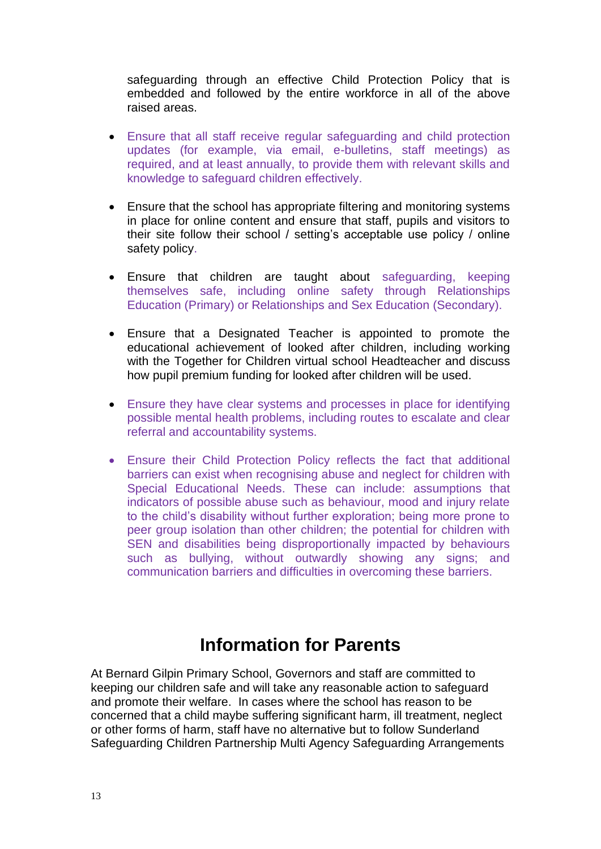safeguarding through an effective Child Protection Policy that is embedded and followed by the entire workforce in all of the above raised areas.

- Ensure that all staff receive regular safeguarding and child protection updates (for example, via email, e-bulletins, staff meetings) as required, and at least annually, to provide them with relevant skills and knowledge to safeguard children effectively.
- Ensure that the school has appropriate filtering and monitoring systems in place for online content and ensure that staff, pupils and visitors to their site follow their school / setting's acceptable use policy / online safety policy.
- Ensure that children are taught about safeguarding, keeping themselves safe, including online safety through Relationships Education (Primary) or Relationships and Sex Education (Secondary).
- Ensure that a Designated Teacher is appointed to promote the educational achievement of looked after children, including working with the Together for Children virtual school Headteacher and discuss how pupil premium funding for looked after children will be used.
- Ensure they have clear systems and processes in place for identifying possible mental health problems, including routes to escalate and clear referral and accountability systems.
- Ensure their Child Protection Policy reflects the fact that additional barriers can exist when recognising abuse and neglect for children with Special Educational Needs. These can include: assumptions that indicators of possible abuse such as behaviour, mood and injury relate to the child's disability without further exploration; being more prone to peer group isolation than other children; the potential for children with SEN and disabilities being disproportionally impacted by behaviours such as bullying, without outwardly showing any signs; and communication barriers and difficulties in overcoming these barriers.

## **Information for Parents**

At Bernard Gilpin Primary School, Governors and staff are committed to keeping our children safe and will take any reasonable action to safeguard and promote their welfare. In cases where the school has reason to be concerned that a child maybe suffering significant harm, ill treatment, neglect or other forms of harm, staff have no alternative but to follow Sunderland Safeguarding Children Partnership Multi Agency Safeguarding Arrangements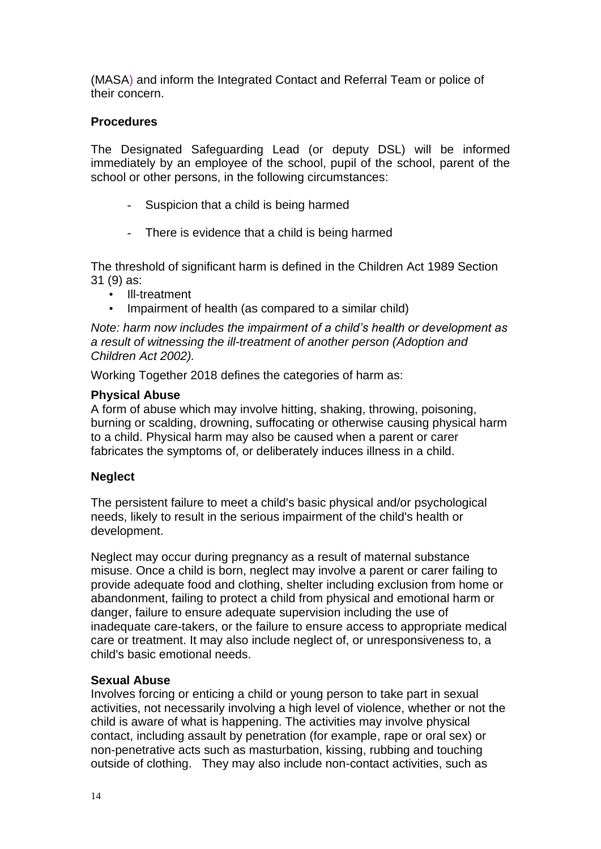(MASA) and inform the Integrated Contact and Referral Team or police of their concern.

## **Procedures**

The Designated Safeguarding Lead (or deputy DSL) will be informed immediately by an employee of the school, pupil of the school, parent of the school or other persons, in the following circumstances:

- Suspicion that a child is being harmed
- There is evidence that a child is being harmed

The threshold of significant harm is defined in the Children Act 1989 Section 31 (9) as:

- Ill-treatment
- Impairment of health (as compared to a similar child)

*Note: harm now includes the impairment of a child's health or development as a result of witnessing the ill-treatment of another person (Adoption and Children Act 2002).*

Working Together 2018 defines the categories of harm as:

## **Physical Abuse**

A form of abuse which may involve hitting, shaking, throwing, poisoning, burning or scalding, drowning, suffocating or otherwise causing physical harm to a child. Physical harm may also be caused when a parent or carer fabricates the symptoms of, or deliberately induces illness in a child.

## **Neglect**

The persistent failure to meet a child's basic physical and/or psychological needs, likely to result in the serious impairment of the child's health or development.

Neglect may occur during pregnancy as a result of maternal substance misuse. Once a child is born, neglect may involve a parent or carer failing to provide adequate food and clothing, shelter including exclusion from home or abandonment, failing to protect a child from physical and emotional harm or danger, failure to ensure adequate supervision including the use of inadequate care-takers, or the failure to ensure access to appropriate medical care or treatment. It may also include neglect of, or unresponsiveness to, a child's basic emotional needs.

## **Sexual Abuse**

Involves forcing or enticing a child or young person to take part in sexual activities, not necessarily involving a high level of violence, whether or not the child is aware of what is happening. The activities may involve physical contact, including assault by penetration (for example, rape or oral sex) or non-penetrative acts such as masturbation, kissing, rubbing and touching outside of clothing. They may also include non-contact activities, such as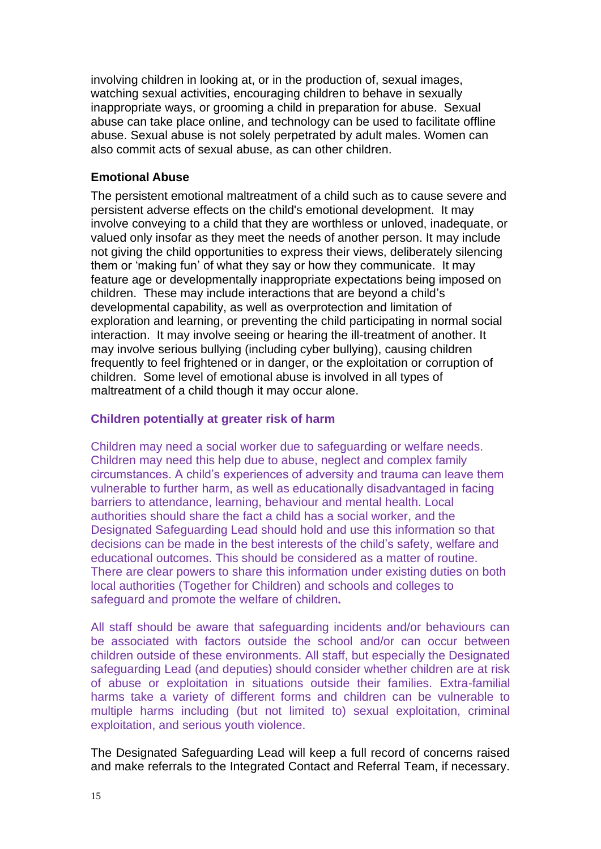involving children in looking at, or in the production of, sexual images, watching sexual activities, encouraging children to behave in sexually inappropriate ways, or grooming a child in preparation for abuse. Sexual abuse can take place online, and technology can be used to facilitate offline abuse. Sexual abuse is not solely perpetrated by adult males. Women can also commit acts of sexual abuse, as can other children.

#### **Emotional Abuse**

The persistent emotional maltreatment of a child such as to cause severe and persistent adverse effects on the child's emotional development. It may involve conveying to a child that they are worthless or unloved, inadequate, or valued only insofar as they meet the needs of another person. It may include not giving the child opportunities to express their views, deliberately silencing them or 'making fun' of what they say or how they communicate. It may feature age or developmentally inappropriate expectations being imposed on children. These may include interactions that are beyond a child's developmental capability, as well as overprotection and limitation of exploration and learning, or preventing the child participating in normal social interaction. It may involve seeing or hearing the ill-treatment of another. It may involve serious bullying (including cyber bullying), causing children frequently to feel frightened or in danger, or the exploitation or corruption of children. Some level of emotional abuse is involved in all types of maltreatment of a child though it may occur alone.

### **Children potentially at greater risk of harm**

Children may need a social worker due to safeguarding or welfare needs. Children may need this help due to abuse, neglect and complex family circumstances. A child's experiences of adversity and trauma can leave them vulnerable to further harm, as well as educationally disadvantaged in facing barriers to attendance, learning, behaviour and mental health. Local authorities should share the fact a child has a social worker, and the Designated Safeguarding Lead should hold and use this information so that decisions can be made in the best interests of the child's safety, welfare and educational outcomes. This should be considered as a matter of routine. There are clear powers to share this information under existing duties on both local authorities (Together for Children) and schools and colleges to safeguard and promote the welfare of children**.** 

All staff should be aware that safeguarding incidents and/or behaviours can be associated with factors outside the school and/or can occur between children outside of these environments. All staff, but especially the Designated safeguarding Lead (and deputies) should consider whether children are at risk of abuse or exploitation in situations outside their families. Extra-familial harms take a variety of different forms and children can be vulnerable to multiple harms including (but not limited to) sexual exploitation, criminal exploitation, and serious youth violence.

The Designated Safeguarding Lead will keep a full record of concerns raised and make referrals to the Integrated Contact and Referral Team, if necessary.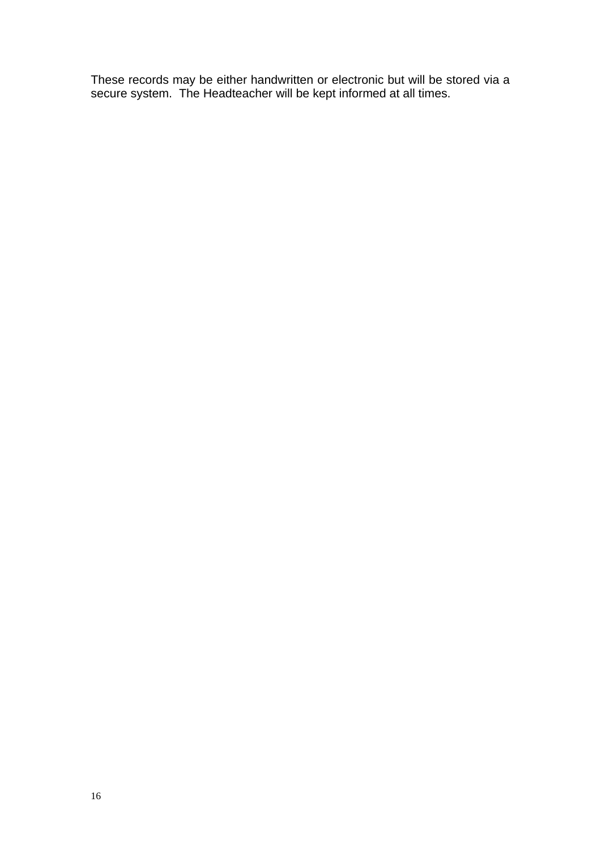These records may be either handwritten or electronic but will be stored via a secure system. The Headteacher will be kept informed at all times.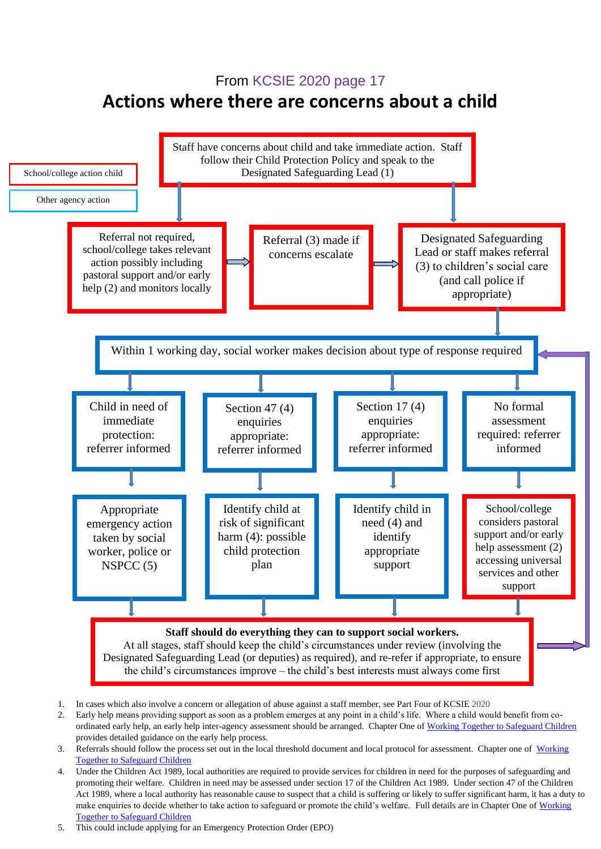## From KCSIE 2020 page 17

## **Actions where there are concerns about a child**



- 2. Early help means providing support as soon as a problem emerges at any point in a child's life. Where a child would benefit from co-ordinated early help, an early help inter-agency assessment should be arranged. Chapter One of [Working Together to Safeguard Children](https://www.gov.uk/government/publications/working-together-to-safeguard-children--2) provides detailed guidance on the early help process.
- 3. Referrals should follow the process set out in the local threshold document and local protocol for assessment. Chapter one of Working [Together to Safeguard Children](https://www.gov.uk/government/publications/working-together-to-safeguard-children--2)
- 17 Act 1989, where a local authority has reasonable cause to suspect that a child is suffering or likely to suffer significant harm, it has a duty to 4. Under the Children Act 1989, local authorities are required to provide services for children in need for the purposes of safeguarding and promoting their welfare. Children in need may be assessed under section 17 of the Children Act 1989. Under section 47 of the Children make enquiries to decide whether to take action to safeguard or promote the child's welfare. Full details are in Chapter One of [Working](https://www.gov.uk/government/publications/working-together-to-safeguard-children--2)  [Together to Safeguard Children](https://www.gov.uk/government/publications/working-together-to-safeguard-children--2)
- 5. This could include applying for an Emergency Protection Order (EPO)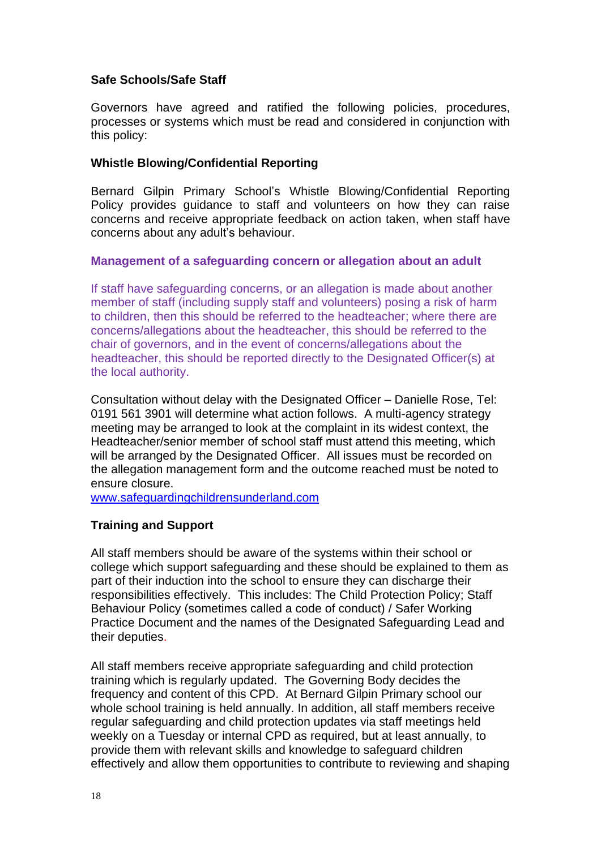## **Safe Schools/Safe Staff**

Governors have agreed and ratified the following policies, procedures, processes or systems which must be read and considered in conjunction with this policy:

#### **Whistle Blowing/Confidential Reporting**

Bernard Gilpin Primary School's Whistle Blowing/Confidential Reporting Policy provides guidance to staff and volunteers on how they can raise concerns and receive appropriate feedback on action taken, when staff have concerns about any adult's behaviour.

#### **Management of a safeguarding concern or allegation about an adult**

If staff have safeguarding concerns, or an allegation is made about another member of staff (including supply staff and volunteers) posing a risk of harm to children, then this should be referred to the headteacher; where there are concerns/allegations about the headteacher, this should be referred to the chair of governors, and in the event of concerns/allegations about the headteacher, this should be reported directly to the Designated Officer(s) at the local authority.

Consultation without delay with the Designated Officer – Danielle Rose, Tel: 0191 561 3901 will determine what action follows. A multi-agency strategy meeting may be arranged to look at the complaint in its widest context, the Headteacher/senior member of school staff must attend this meeting, which will be arranged by the Designated Officer. All issues must be recorded on the allegation management form and the outcome reached must be noted to ensure closure.

[www.safeguardingchildrensunderland.com](http://www.safeguardingchildrensunderland.com/)

## **Training and Support**

All staff members should be aware of the systems within their school or college which support safeguarding and these should be explained to them as part of their induction into the school to ensure they can discharge their responsibilities effectively. This includes: The Child Protection Policy; Staff Behaviour Policy (sometimes called a code of conduct) / Safer Working Practice Document and the names of the Designated Safeguarding Lead and their deputies.

All staff members receive appropriate safeguarding and child protection training which is regularly updated. The Governing Body decides the frequency and content of this CPD. At Bernard Gilpin Primary school our whole school training is held annually. In addition, all staff members receive regular safeguarding and child protection updates via staff meetings held weekly on a Tuesday or internal CPD as required, but at least annually, to provide them with relevant skills and knowledge to safeguard children effectively and allow them opportunities to contribute to reviewing and shaping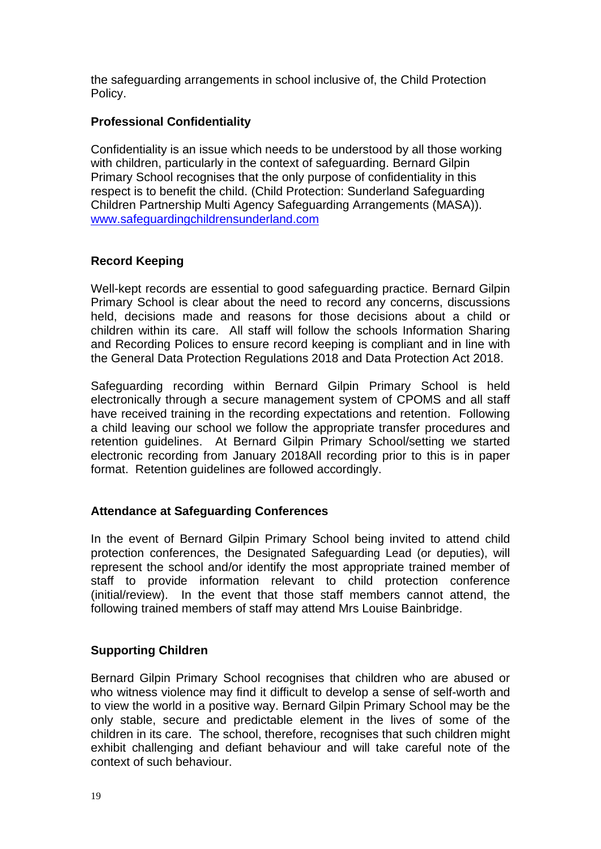the safeguarding arrangements in school inclusive of, the Child Protection Policy.

## **Professional Confidentiality**

Confidentiality is an issue which needs to be understood by all those working with children, particularly in the context of safeguarding. Bernard Gilpin Primary School recognises that the only purpose of confidentiality in this respect is to benefit the child. (Child Protection: Sunderland Safeguarding Children Partnership Multi Agency Safeguarding Arrangements (MASA)). [www.safeguardingchildrensunderland.com](http://www.safeguardingchildrensunderland.com/)

## **Record Keeping**

Well-kept records are essential to good safeguarding practice. Bernard Gilpin Primary School is clear about the need to record any concerns, discussions held, decisions made and reasons for those decisions about a child or children within its care. All staff will follow the schools Information Sharing and Recording Polices to ensure record keeping is compliant and in line with the General Data Protection Regulations 2018 and Data Protection Act 2018.

Safeguarding recording within Bernard Gilpin Primary School is held electronically through a secure management system of CPOMS and all staff have received training in the recording expectations and retention. Following a child leaving our school we follow the appropriate transfer procedures and retention guidelines. At Bernard Gilpin Primary School/setting we started electronic recording from January 2018All recording prior to this is in paper format. Retention guidelines are followed accordingly.

## **Attendance at Safeguarding Conferences**

In the event of Bernard Gilpin Primary School being invited to attend child protection conferences, the Designated Safeguarding Lead (or deputies), will represent the school and/or identify the most appropriate trained member of staff to provide information relevant to child protection conference (initial/review). In the event that those staff members cannot attend, the following trained members of staff may attend Mrs Louise Bainbridge.

## **Supporting Children**

Bernard Gilpin Primary School recognises that children who are abused or who witness violence may find it difficult to develop a sense of self-worth and to view the world in a positive way. Bernard Gilpin Primary School may be the only stable, secure and predictable element in the lives of some of the children in its care. The school, therefore, recognises that such children might exhibit challenging and defiant behaviour and will take careful note of the context of such behaviour.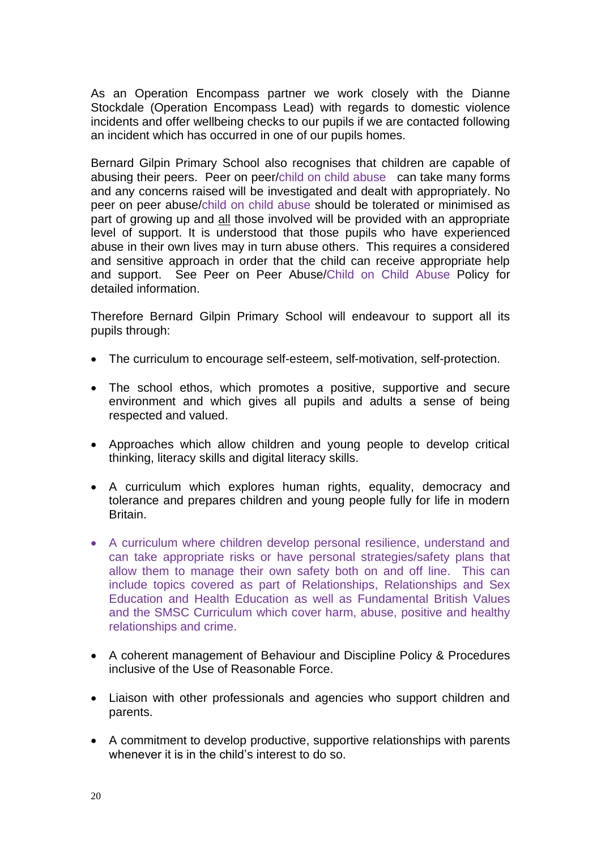As an Operation Encompass partner we work closely with the Dianne Stockdale (Operation Encompass Lead) with regards to domestic violence incidents and offer wellbeing checks to our pupils if we are contacted following an incident which has occurred in one of our pupils homes.

Bernard Gilpin Primary School also recognises that children are capable of abusing their peers. Peer on peer/child on child abuse can take many forms and any concerns raised will be investigated and dealt with appropriately. No peer on peer abuse/child on child abuse should be tolerated or minimised as part of growing up and all those involved will be provided with an appropriate level of support. It is understood that those pupils who have experienced abuse in their own lives may in turn abuse others. This requires a considered and sensitive approach in order that the child can receive appropriate help and support. See Peer on Peer Abuse/Child on Child Abuse Policy for detailed information.

Therefore Bernard Gilpin Primary School will endeavour to support all its pupils through:

- The curriculum to encourage self-esteem, self-motivation, self-protection.
- The school ethos, which promotes a positive, supportive and secure environment and which gives all pupils and adults a sense of being respected and valued.
- Approaches which allow children and young people to develop critical thinking, literacy skills and digital literacy skills.
- A curriculum which explores human rights, equality, democracy and tolerance and prepares children and young people fully for life in modern Britain.
- A curriculum where children develop personal resilience, understand and can take appropriate risks or have personal strategies/safety plans that allow them to manage their own safety both on and off line. This can include topics covered as part of Relationships, Relationships and Sex Education and Health Education as well as Fundamental British Values and the SMSC Curriculum which cover harm, abuse, positive and healthy relationships and crime.
- A coherent management of Behaviour and Discipline Policy & Procedures inclusive of the Use of Reasonable Force.
- Liaison with other professionals and agencies who support children and parents.
- A commitment to develop productive, supportive relationships with parents whenever it is in the child's interest to do so.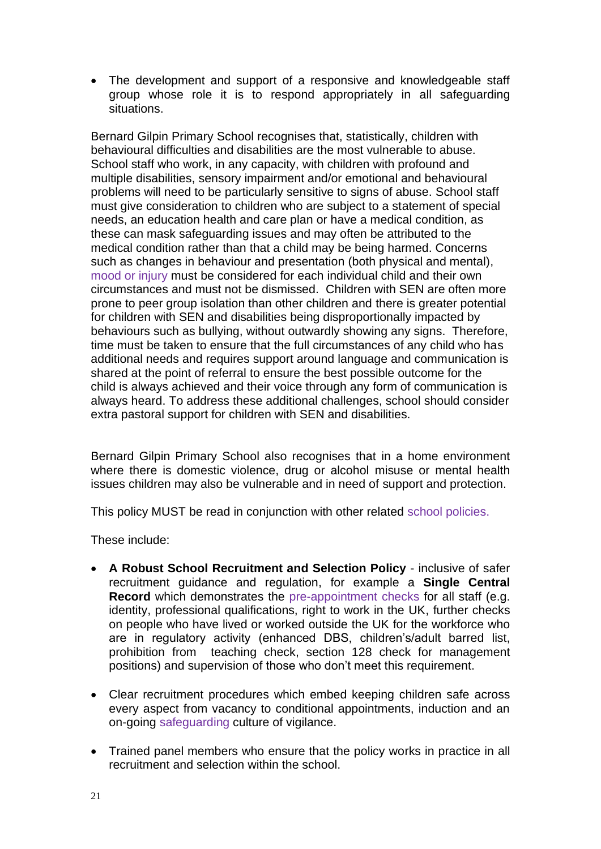• The development and support of a responsive and knowledgeable staff group whose role it is to respond appropriately in all safeguarding situations.

Bernard Gilpin Primary School recognises that, statistically, children with behavioural difficulties and disabilities are the most vulnerable to abuse. School staff who work, in any capacity, with children with profound and multiple disabilities, sensory impairment and/or emotional and behavioural problems will need to be particularly sensitive to signs of abuse. School staff must give consideration to children who are subject to a statement of special needs, an education health and care plan or have a medical condition, as these can mask safeguarding issues and may often be attributed to the medical condition rather than that a child may be being harmed. Concerns such as changes in behaviour and presentation (both physical and mental), mood or injury must be considered for each individual child and their own circumstances and must not be dismissed. Children with SEN are often more prone to peer group isolation than other children and there is greater potential for children with SEN and disabilities being disproportionally impacted by behaviours such as bullying, without outwardly showing any signs. Therefore, time must be taken to ensure that the full circumstances of any child who has additional needs and requires support around language and communication is shared at the point of referral to ensure the best possible outcome for the child is always achieved and their voice through any form of communication is always heard. To address these additional challenges, school should consider extra pastoral support for children with SEN and disabilities.

Bernard Gilpin Primary School also recognises that in a home environment where there is domestic violence, drug or alcohol misuse or mental health issues children may also be vulnerable and in need of support and protection.

This policy MUST be read in conjunction with other related school policies.

These include:

- **A Robust School Recruitment and Selection Policy** inclusive of safer recruitment guidance and regulation, for example a **Single Central Record** which demonstrates the pre-appointment checks for all staff (e.g. identity, professional qualifications, right to work in the UK, further checks on people who have lived or worked outside the UK for the workforce who are in regulatory activity (enhanced DBS, children's/adult barred list, prohibition from teaching check, section 128 check for management positions) and supervision of those who don't meet this requirement.
- Clear recruitment procedures which embed keeping children safe across every aspect from vacancy to conditional appointments, induction and an on-going safeguarding culture of vigilance.
- Trained panel members who ensure that the policy works in practice in all recruitment and selection within the school.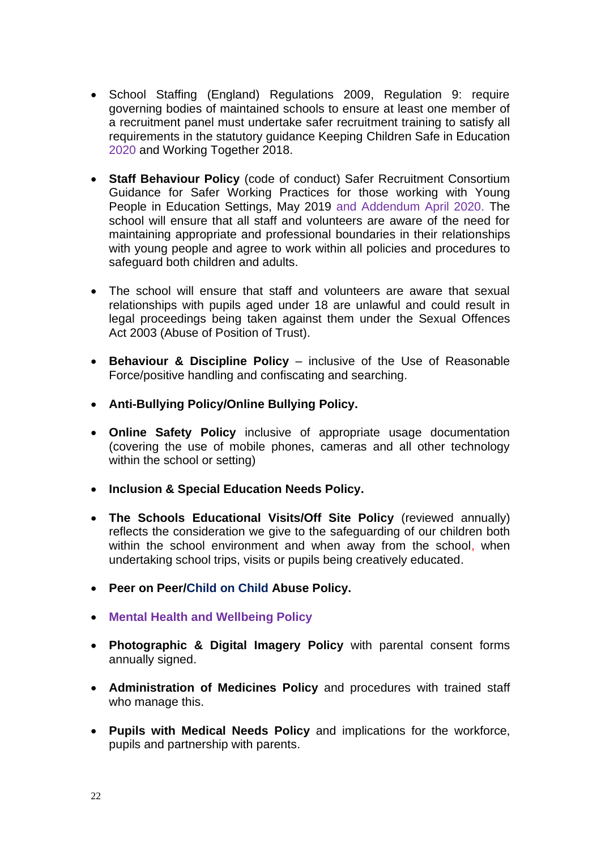- School Staffing (England) Regulations 2009, Regulation 9: require governing bodies of maintained schools to ensure at least one member of a recruitment panel must undertake safer recruitment training to satisfy all requirements in the statutory guidance Keeping Children Safe in Education 2020 and Working Together 2018.
- **Staff Behaviour Policy** (code of conduct) Safer Recruitment Consortium Guidance for Safer Working Practices for those working with Young People in Education Settings, May 2019 and Addendum April 2020. The school will ensure that all staff and volunteers are aware of the need for maintaining appropriate and professional boundaries in their relationships with young people and agree to work within all policies and procedures to safeguard both children and adults.
- The school will ensure that staff and volunteers are aware that sexual relationships with pupils aged under 18 are unlawful and could result in legal proceedings being taken against them under the Sexual Offences Act 2003 (Abuse of Position of Trust).
- **Behaviour & Discipline Policy** inclusive of the Use of Reasonable Force/positive handling and confiscating and searching.
- **Anti-Bullying Policy/Online Bullying Policy.**
- **Online Safety Policy** inclusive of appropriate usage documentation (covering the use of mobile phones, cameras and all other technology within the school or setting)
- **Inclusion & Special Education Needs Policy.**
- **The Schools Educational Visits/Off Site Policy** (reviewed annually) reflects the consideration we give to the safeguarding of our children both within the school environment and when away from the school, when undertaking school trips, visits or pupils being creatively educated.
- **Peer on Peer/Child on Child Abuse Policy.**
- **Mental Health and Wellbeing Policy**
- **Photographic & Digital Imagery Policy** with parental consent forms annually signed.
- **Administration of Medicines Policy** and procedures with trained staff who manage this.
- **Pupils with Medical Needs Policy** and implications for the workforce, pupils and partnership with parents.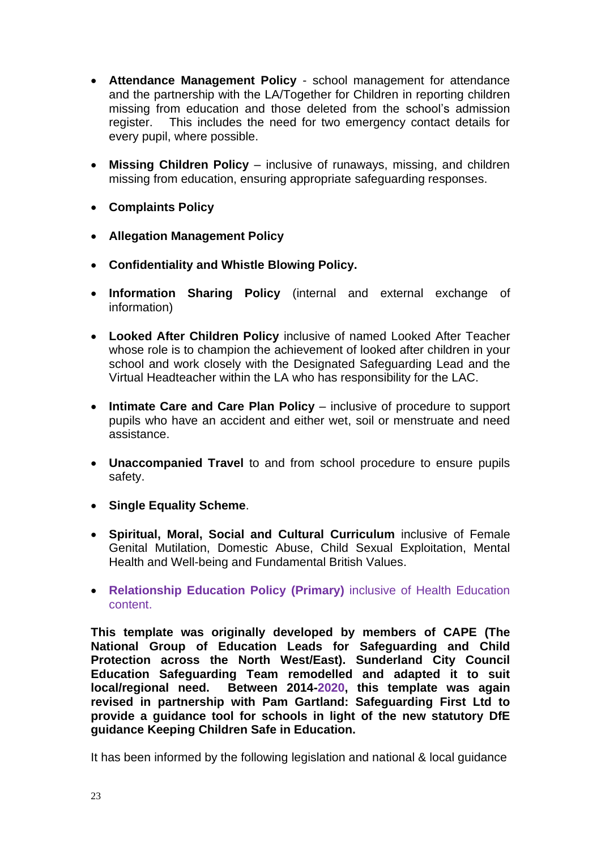- **Attendance Management Policy** school management for attendance and the partnership with the LA/Together for Children in reporting children missing from education and those deleted from the school's admission register. This includes the need for two emergency contact details for every pupil, where possible.
- **Missing Children Policy** inclusive of runaways, missing, and children missing from education, ensuring appropriate safeguarding responses.
- **Complaints Policy**
- **Allegation Management Policy**
- **Confidentiality and Whistle Blowing Policy.**
- **Information Sharing Policy** (internal and external exchange of information)
- **Looked After Children Policy** inclusive of named Looked After Teacher whose role is to champion the achievement of looked after children in your school and work closely with the Designated Safeguarding Lead and the Virtual Headteacher within the LA who has responsibility for the LAC.
- **Intimate Care and Care Plan Policy** inclusive of procedure to support pupils who have an accident and either wet, soil or menstruate and need assistance.
- **Unaccompanied Travel** to and from school procedure to ensure pupils safety.
- **Single Equality Scheme**.
- **Spiritual, Moral, Social and Cultural Curriculum** inclusive of Female Genital Mutilation, Domestic Abuse, Child Sexual Exploitation, Mental Health and Well-being and Fundamental British Values.
- **Relationship Education Policy (Primary)** inclusive of Health Education content.

**This template was originally developed by members of CAPE (The National Group of Education Leads for Safeguarding and Child Protection across the North West/East). Sunderland City Council Education Safeguarding Team remodelled and adapted it to suit local/regional need. Between 2014-2020, this template was again revised in partnership with Pam Gartland: Safeguarding First Ltd to provide a guidance tool for schools in light of the new statutory DfE guidance Keeping Children Safe in Education.**

It has been informed by the following legislation and national & local guidance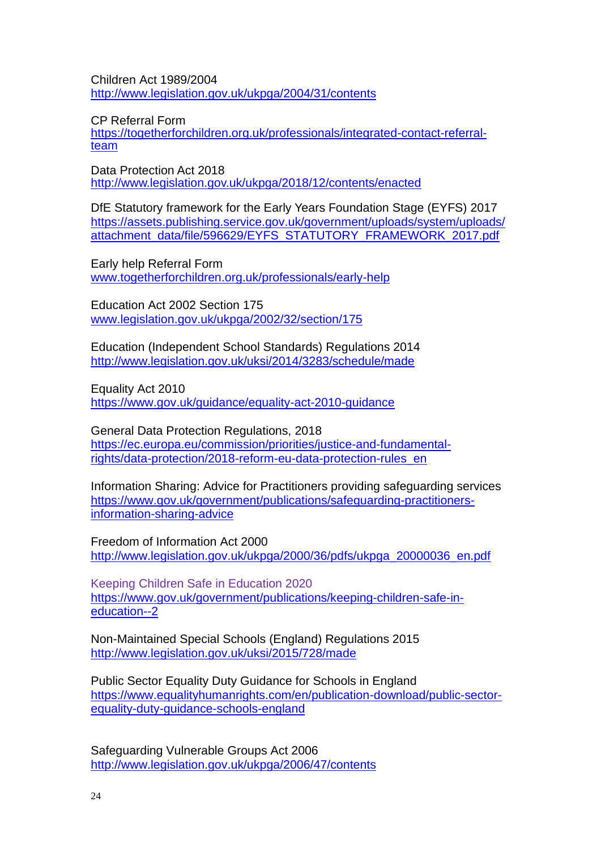Children Act 1989/2004 <http://www.legislation.gov.uk/ukpga/2004/31/contents>

CP Referral Form

[https://togetherforchildren.org.uk/professionals/integrated-contact-referral](https://togetherforchildren.org.uk/professionals/integrated-contact-referral-team)[team](https://togetherforchildren.org.uk/professionals/integrated-contact-referral-team)

Data Protection Act 2018 <http://www.legislation.gov.uk/ukpga/2018/12/contents/enacted>

DfE Statutory framework for the Early Years Foundation Stage (EYFS) 2017 [https://assets.publishing.service.gov.uk/government/uploads/system/uploads/](https://assets.publishing.service.gov.uk/government/uploads/system/uploads/attachment_data/file/596629/EYFS_STATUTORY_FRAMEWORK_2017.pdf) [attachment\\_data/file/596629/EYFS\\_STATUTORY\\_FRAMEWORK\\_2017.pdf](https://assets.publishing.service.gov.uk/government/uploads/system/uploads/attachment_data/file/596629/EYFS_STATUTORY_FRAMEWORK_2017.pdf)

Early help Referral Form [www.togetherforchildren.org.uk/professionals/early-help](http://www.togetherforchildren.org.uk/professionals/early-help) 

Education Act 2002 Section 175 [www.legislation.gov.uk/ukpga/2002/32/section/175](http://www.legislation.gov.uk/ukpga/2002/32/section/175)

Education (Independent School Standards) Regulations 2014 <http://www.legislation.gov.uk/uksi/2014/3283/schedule/made>

Equality Act 2010 <https://www.gov.uk/guidance/equality-act-2010-guidance>

General Data Protection Regulations, 2018 [https://ec.europa.eu/commission/priorities/justice-and-fundamental](https://ec.europa.eu/commission/priorities/justice-and-fundamental-rights/data-protection/2018-reform-eu-data-protection-rules_en)[rights/data-protection/2018-reform-eu-data-protection-rules\\_en](https://ec.europa.eu/commission/priorities/justice-and-fundamental-rights/data-protection/2018-reform-eu-data-protection-rules_en)

Information Sharing: Advice for Practitioners providing safeguarding services [https://www.gov.uk/government/publications/safeguarding-practitioners](https://www.gov.uk/government/publications/safeguarding-practitioners-information-sharing-advice)[information-sharing-advice](https://www.gov.uk/government/publications/safeguarding-practitioners-information-sharing-advice)

Freedom of Information Act 2000 [http://www.legislation.gov.uk/ukpga/2000/36/pdfs/ukpga\\_20000036\\_en.pdf](http://www.legislation.gov.uk/ukpga/2000/36/pdfs/ukpga_20000036_en.pdf)

Keeping Children Safe in Education 2020 [https://www.gov.uk/government/publications/keeping-children-safe-in](https://www.gov.uk/government/publications/keeping-children-safe-in-education--2)[education--2](https://www.gov.uk/government/publications/keeping-children-safe-in-education--2)

Non-Maintained Special Schools (England) Regulations 2015 <http://www.legislation.gov.uk/uksi/2015/728/made>

Public Sector Equality Duty Guidance for Schools in England [https://www.equalityhumanrights.com/en/publication-download/public-sector](https://www.equalityhumanrights.com/en/publication-download/public-sector-equality-duty-guidance-schools-england)[equality-duty-guidance-schools-england](https://www.equalityhumanrights.com/en/publication-download/public-sector-equality-duty-guidance-schools-england)

Safeguarding Vulnerable Groups Act 2006 <http://www.legislation.gov.uk/ukpga/2006/47/contents>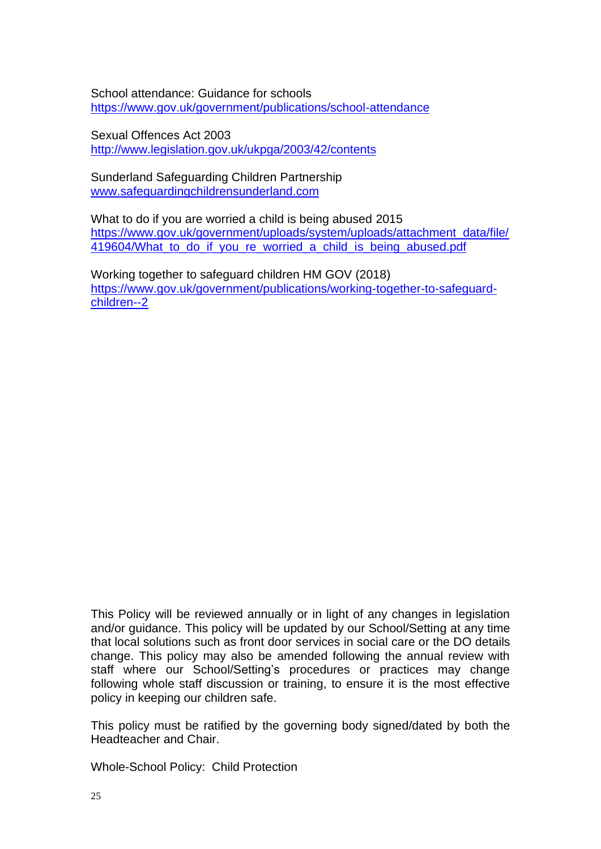School attendance: Guidance for schools <https://www.gov.uk/government/publications/school-attendance>

Sexual Offences Act 2003 <http://www.legislation.gov.uk/ukpga/2003/42/contents>

Sunderland Safeguarding Children Partnership [www.safeguardingchildrensunderland.com](http://www.safeguardingchildrensunderland.com/)

What to do if you are worried a child is being abused 2015 [https://www.gov.uk/government/uploads/system/uploads/attachment\\_data/file/](https://www.gov.uk/government/uploads/system/uploads/attachment_data/file/419604/What_to_do_if_you_re_worried_a_child_is_being_abused.pdf) [419604/What\\_to\\_do\\_if\\_you\\_re\\_worried\\_a\\_child\\_is\\_being\\_abused.pdf](https://www.gov.uk/government/uploads/system/uploads/attachment_data/file/419604/What_to_do_if_you_re_worried_a_child_is_being_abused.pdf)

Working together to safeguard children HM GOV (2018) [https://www.gov.uk/government/publications/working-together-to-safeguard](https://www.gov.uk/government/publications/working-together-to-safeguard-children--2)[children--2](https://www.gov.uk/government/publications/working-together-to-safeguard-children--2)

This Policy will be reviewed annually or in light of any changes in legislation and/or guidance. This policy will be updated by our School/Setting at any time that local solutions such as front door services in social care or the DO details change. This policy may also be amended following the annual review with staff where our School/Setting's procedures or practices may change following whole staff discussion or training, to ensure it is the most effective policy in keeping our children safe.

This policy must be ratified by the governing body signed/dated by both the Headteacher and Chair.

Whole-School Policy: Child Protection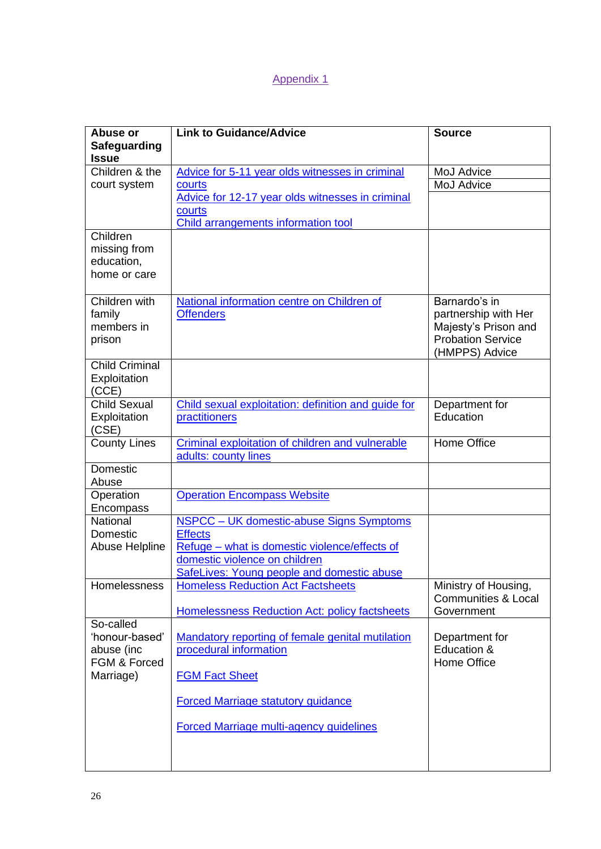## Appendix 1

| Abuse or<br>Safeguarding            | <b>Link to Guidance/Advice</b>                                       | <b>Source</b>                                          |
|-------------------------------------|----------------------------------------------------------------------|--------------------------------------------------------|
| <b>Issue</b>                        |                                                                      |                                                        |
| Children & the                      | Advice for 5-11 year olds witnesses in criminal                      | MoJ Advice                                             |
| court system                        | courts                                                               | MoJ Advice                                             |
|                                     | Advice for 12-17 year olds witnesses in criminal                     |                                                        |
|                                     | courts                                                               |                                                        |
|                                     | <b>Child arrangements information tool</b>                           |                                                        |
| Children<br>missing from            |                                                                      |                                                        |
| education,                          |                                                                      |                                                        |
| home or care                        |                                                                      |                                                        |
|                                     |                                                                      |                                                        |
| Children with                       | National information centre on Children of                           | Barnardo's in                                          |
| family<br>members in                | <b>Offenders</b>                                                     | partnership with Her<br>Majesty's Prison and           |
| prison                              |                                                                      | <b>Probation Service</b>                               |
|                                     |                                                                      | (HMPPS) Advice                                         |
| <b>Child Criminal</b>               |                                                                      |                                                        |
| Exploitation                        |                                                                      |                                                        |
| (CCE)                               |                                                                      |                                                        |
| <b>Child Sexual</b><br>Exploitation | Child sexual exploitation: definition and guide for<br>practitioners | Department for<br>Education                            |
| (CSE)                               |                                                                      |                                                        |
| <b>County Lines</b>                 | Criminal exploitation of children and vulnerable                     | Home Office                                            |
|                                     | adults: county lines                                                 |                                                        |
| <b>Domestic</b>                     |                                                                      |                                                        |
| Abuse                               |                                                                      |                                                        |
| Operation<br>Encompass              | <b>Operation Encompass Website</b>                                   |                                                        |
| National                            | NSPCC - UK domestic-abuse Signs Symptoms                             |                                                        |
| Domestic                            | <b>Effects</b>                                                       |                                                        |
| Abuse Helpline                      | Refuge – what is domestic violence/effects of                        |                                                        |
|                                     | domestic violence on children                                        |                                                        |
|                                     | SafeLives: Young people and domestic abuse                           |                                                        |
| Homelessness                        | <b>Homeless Reduction Act Factsheets</b>                             | Ministry of Housing,<br><b>Communities &amp; Local</b> |
|                                     | <b>Homelessness Reduction Act: policy factsheets</b>                 | Government                                             |
| So-called                           |                                                                      |                                                        |
| 'honour-based'                      | Mandatory reporting of female genital mutilation                     | Department for                                         |
| abuse (inc                          | procedural information                                               | Education &                                            |
| FGM & Forced                        |                                                                      | <b>Home Office</b>                                     |
| Marriage)                           | <b>FGM Fact Sheet</b>                                                |                                                        |
|                                     | <b>Forced Marriage statutory guidance</b>                            |                                                        |
|                                     | <b>Forced Marriage multi-agency guidelines</b>                       |                                                        |
|                                     |                                                                      |                                                        |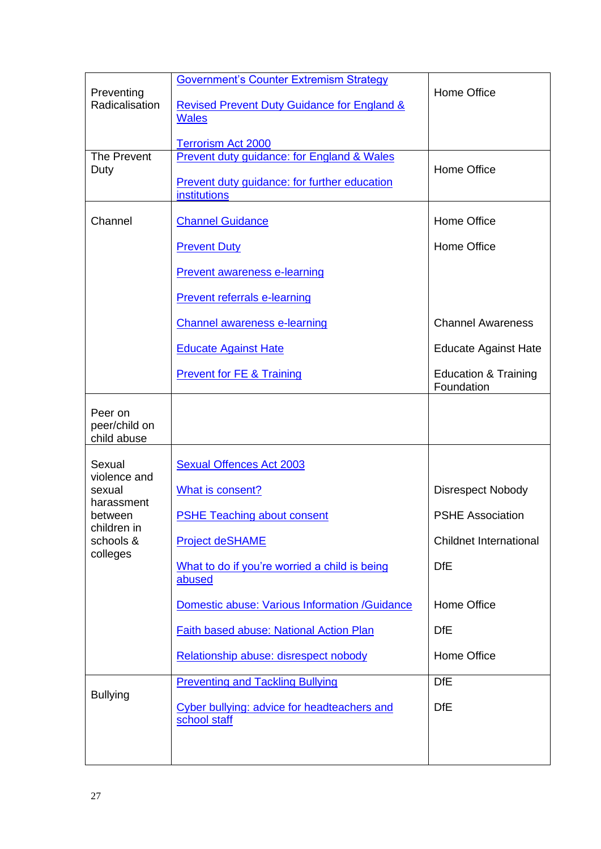| Preventing<br>Radicalisation            | <b>Government's Counter Extremism Strategy</b><br><b>Revised Prevent Duty Guidance for England &amp;</b><br><b>Wales</b> | Home Office                                   |
|-----------------------------------------|--------------------------------------------------------------------------------------------------------------------------|-----------------------------------------------|
|                                         | <b>Terrorism Act 2000</b>                                                                                                |                                               |
| <b>The Prevent</b>                      | <b>Prevent duty guidance: for England &amp; Wales</b>                                                                    | Home Office                                   |
| Duty                                    | Prevent duty guidance: for further education<br><b>institutions</b>                                                      |                                               |
| Channel                                 | <b>Channel Guidance</b>                                                                                                  | Home Office                                   |
|                                         | <b>Prevent Duty</b>                                                                                                      | Home Office                                   |
|                                         | <b>Prevent awareness e-learning</b>                                                                                      |                                               |
|                                         | <b>Prevent referrals e-learning</b>                                                                                      |                                               |
|                                         | <b>Channel awareness e-learning</b>                                                                                      | <b>Channel Awareness</b>                      |
|                                         | <b>Educate Against Hate</b>                                                                                              | <b>Educate Against Hate</b>                   |
|                                         | <b>Prevent for FE &amp; Training</b>                                                                                     | <b>Education &amp; Training</b><br>Foundation |
| Peer on<br>peer/child on<br>child abuse |                                                                                                                          |                                               |
| Sexual<br>violence and                  | <b>Sexual Offences Act 2003</b>                                                                                          |                                               |
| sexual                                  | What is consent?                                                                                                         | <b>Disrespect Nobody</b>                      |
| harassment<br>between                   | <b>PSHE Teaching about consent</b>                                                                                       | <b>PSHE Association</b>                       |
| children in<br>schools &                | <b>Project deSHAME</b>                                                                                                   | <b>Childnet International</b>                 |
| colleges                                | What to do if you're worried a child is being<br>abused                                                                  | <b>DfE</b>                                    |
|                                         | Domestic abuse: Various Information /Guidance                                                                            | Home Office                                   |
|                                         | Faith based abuse: National Action Plan                                                                                  | <b>DfE</b>                                    |
|                                         | Relationship abuse: disrespect nobody                                                                                    | Home Office                                   |
| <b>Bullying</b>                         | <b>Preventing and Tackling Bullying</b>                                                                                  | <b>DfE</b>                                    |
|                                         | Cyber bullying: advice for headteachers and<br>school staff                                                              | <b>DfE</b>                                    |
|                                         |                                                                                                                          |                                               |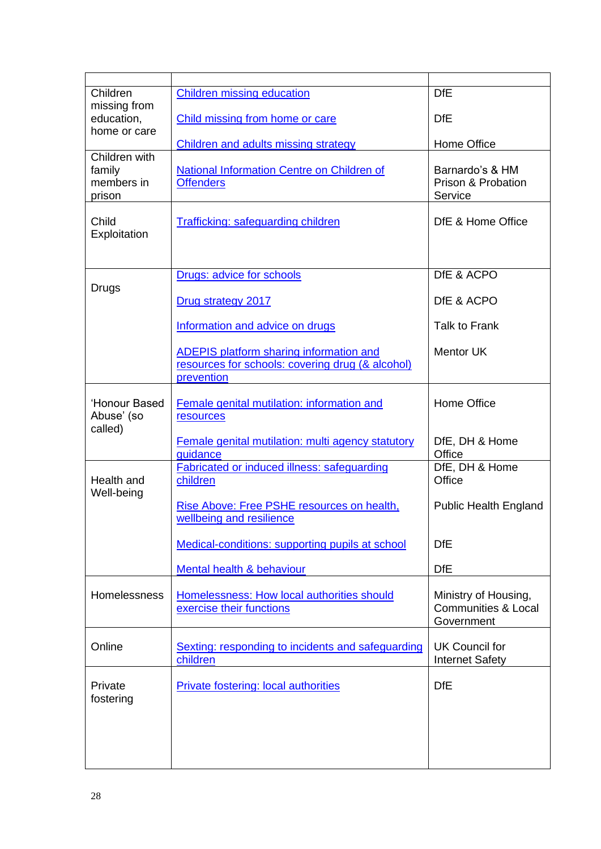| Children                                        | <b>Children missing education</b>                                                                                | <b>DfE</b>                                                           |
|-------------------------------------------------|------------------------------------------------------------------------------------------------------------------|----------------------------------------------------------------------|
| missing from<br>education,<br>home or care      | Child missing from home or care                                                                                  | <b>DfE</b>                                                           |
|                                                 | Children and adults missing strategy                                                                             | Home Office                                                          |
| Children with<br>family<br>members in<br>prison | National Information Centre on Children of<br><b>Offenders</b>                                                   | Barnardo's & HM<br>Prison & Probation<br>Service                     |
| Child<br>Exploitation                           | <b>Trafficking: safeguarding children</b>                                                                        | DfE & Home Office                                                    |
| Drugs                                           | Drugs: advice for schools                                                                                        | DfE & ACPO                                                           |
|                                                 | Drug strategy 2017                                                                                               | DfE & ACPO                                                           |
|                                                 | Information and advice on drugs                                                                                  | Talk to Frank                                                        |
|                                                 | <b>ADEPIS platform sharing information and</b><br>resources for schools: covering drug (& alcohol)<br>prevention | <b>Mentor UK</b>                                                     |
| 'Honour Based<br>Abuse' (so<br>called)          | Female genital mutilation: information and<br>resources                                                          | Home Office                                                          |
|                                                 | Female genital mutilation: multi agency statutory<br>guidance                                                    | DfE, DH & Home<br>Office                                             |
| Health and<br>Well-being                        | <b>Fabricated or induced illness: safeguarding</b><br>children                                                   | DfE, DH & Home<br>Office                                             |
|                                                 | Rise Above: Free PSHE resources on health,<br>wellbeing and resilience                                           | <b>Public Health England</b>                                         |
|                                                 | Medical-conditions: supporting pupils at school                                                                  | <b>DfE</b>                                                           |
|                                                 | Mental health & behaviour                                                                                        | <b>DfE</b>                                                           |
| Homelessness                                    | Homelessness: How local authorities should<br>exercise their functions                                           | Ministry of Housing,<br><b>Communities &amp; Local</b><br>Government |
| Online                                          | Sexting: responding to incidents and safeguarding<br>children                                                    | UK Council for<br><b>Internet Safety</b>                             |
| Private<br>fostering                            | <b>Private fostering: local authorities</b>                                                                      | <b>DfE</b>                                                           |
|                                                 |                                                                                                                  |                                                                      |